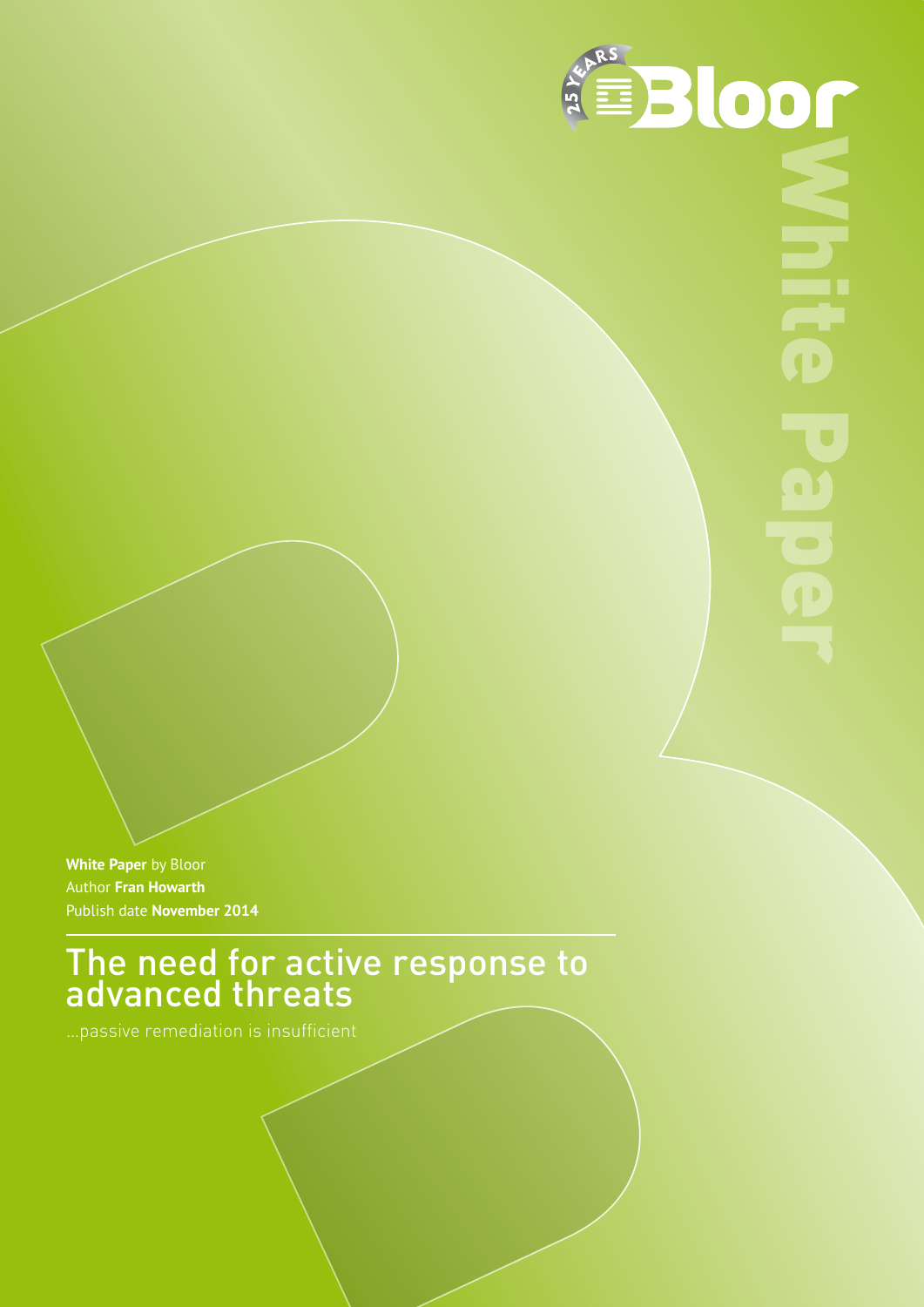

**White Paper** by Bloor Author **Fran Howarth** Publish date **November 2014**

The need for active response to advanced threats

…passive remediation is insufficient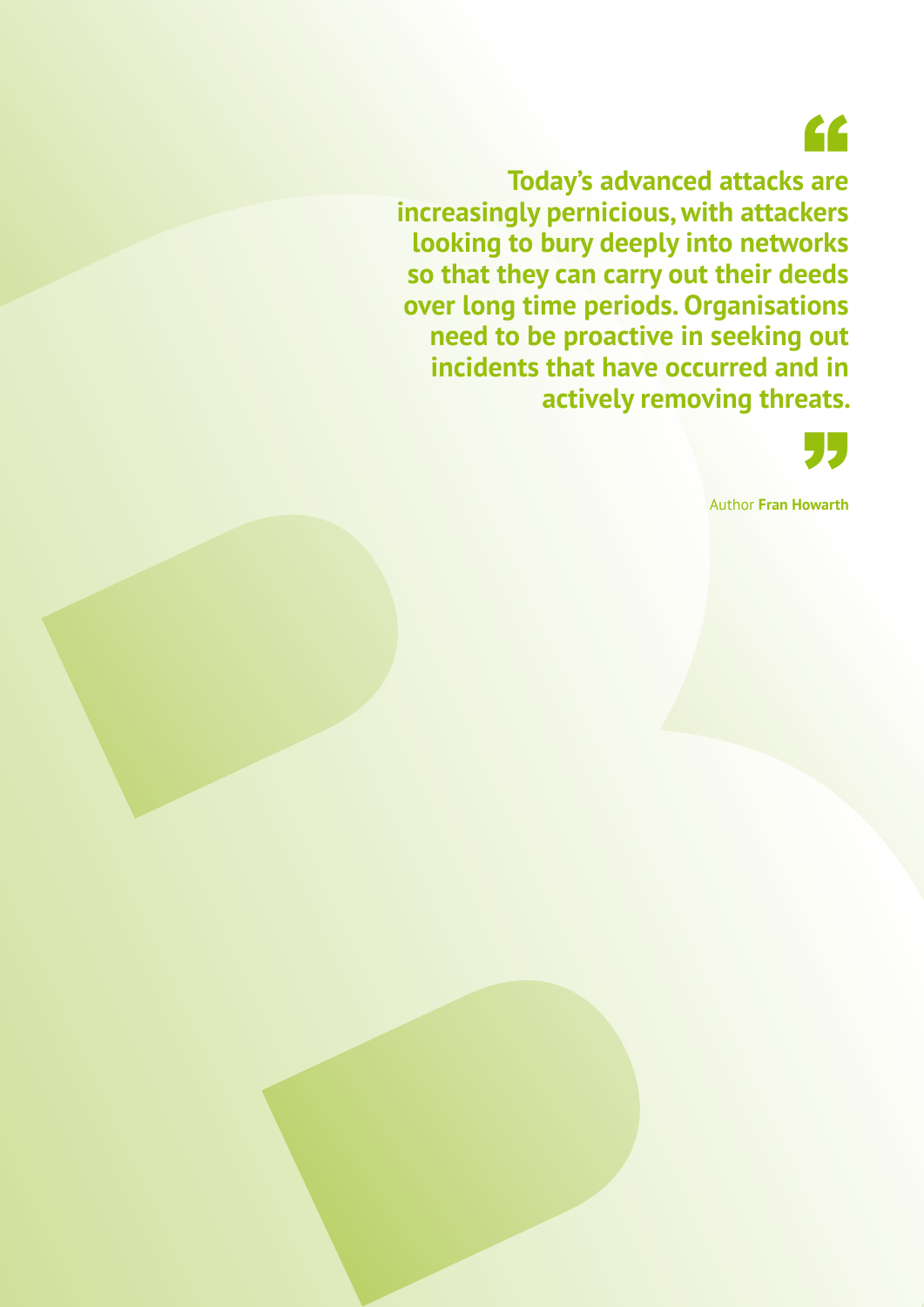"

**Today's advanced attacks are increasingly pernicious, with attackers looking to bury deeply into networks so that they can carry out their deeds over long time periods. Organisations need to be proactive in seeking out incidents that have occurred and in actively removing threats.**



Author **Fran Howarth** "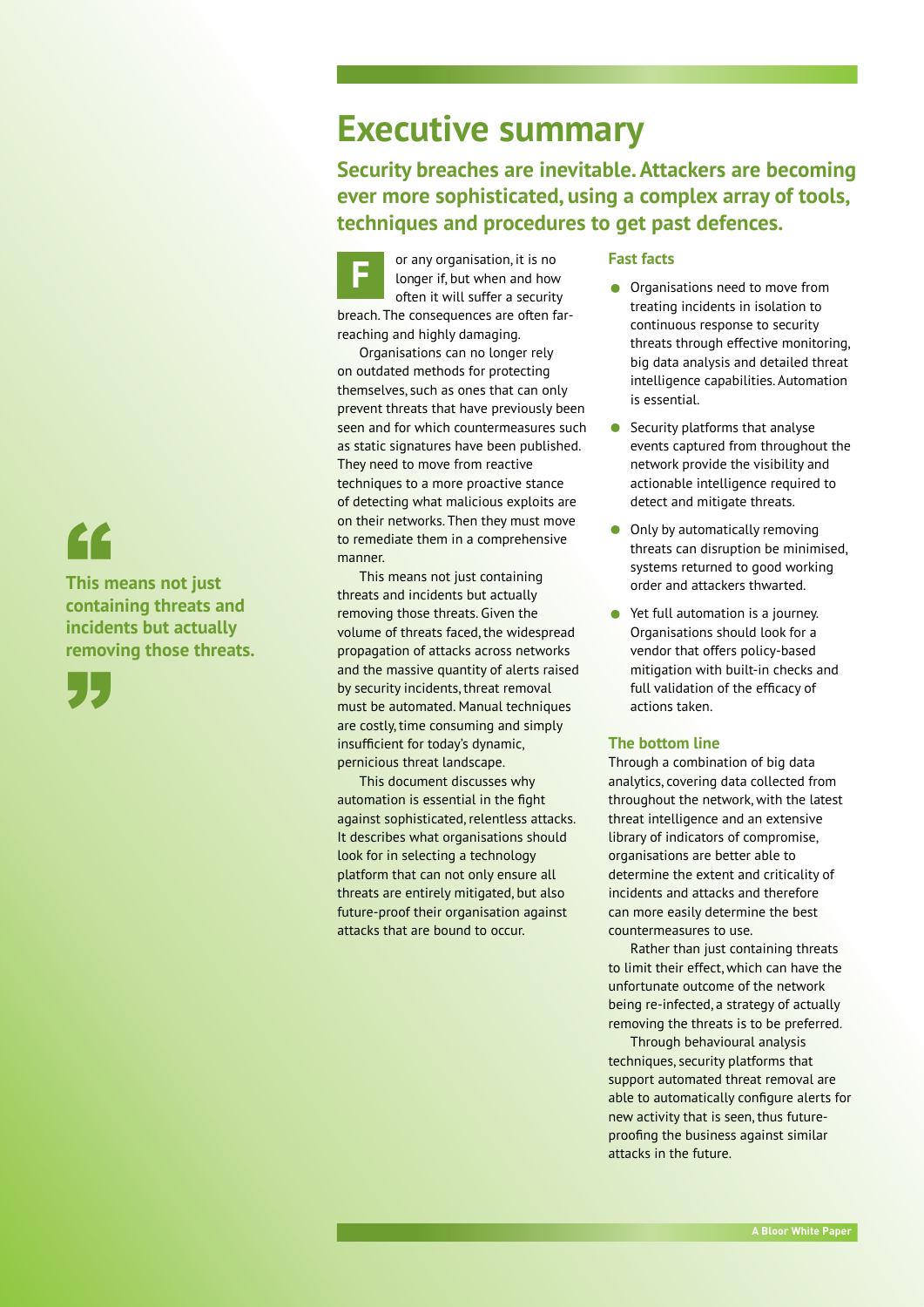## "

**This means not just containing threats and incidents but actually removing those threats.**



### **Executive summary**

**Security breaches are inevitable. Attackers are becoming ever more sophisticated, using a complex array of tools, techniques and procedures to get past defences.**

**F** or any organisation, it is no longer if, but when and how often it will suffer a security breach. The consequences are often farreaching and highly damaging.

Organisations can no longer rely on outdated methods for protecting themselves, such as ones that can only prevent threats that have previously been seen and for which countermeasures such as static signatures have been published. They need to move from reactive techniques to a more proactive stance of detecting what malicious exploits are on their networks. Then they must move to remediate them in a comprehensive manner.

This means not just containing threats and incidents but actually removing those threats. Given the volume of threats faced, the widespread propagation of attacks across networks and the massive quantity of alerts raised by security incidents, threat removal must be automated. Manual techniques are costly, time consuming and simply insufficient for today's dynamic, pernicious threat landscape.

This document discusses why automation is essential in the fight against sophisticated, relentless attacks. It describes what organisations should look for in selecting a technology platform that can not only ensure all threats are entirely mitigated, but also future-proof their organisation against attacks that are bound to occur.

#### **Fast facts**

- Organisations need to move from treating incidents in isolation to continuous response to security threats through effective monitoring, big data analysis and detailed threat intelligence capabilities. Automation is essential.
- Security platforms that analyse events captured from throughout the network provide the visibility and actionable intelligence required to detect and mitigate threats.
- Only by automatically removing threats can disruption be minimised, systems returned to good working order and attackers thwarted.
- Yet full automation is a journey. Organisations should look for a vendor that offers policy-based mitigation with built-in checks and full validation of the efficacy of actions taken.

#### **The bottom line**

Through a combination of big data analytics, covering data collected from throughout the network, with the latest threat intelligence and an extensive library of indicators of compromise, organisations are better able to determine the extent and criticality of incidents and attacks and therefore can more easily determine the best countermeasures to use.

Rather than just containing threats to limit their effect, which can have the unfortunate outcome of the network being re-infected, a strategy of actually removing the threats is to be preferred.

Through behavioural analysis techniques, security platforms that support automated threat removal are able to automatically configure alerts for new activity that is seen, thus futureproofing the business against similar attacks in the future.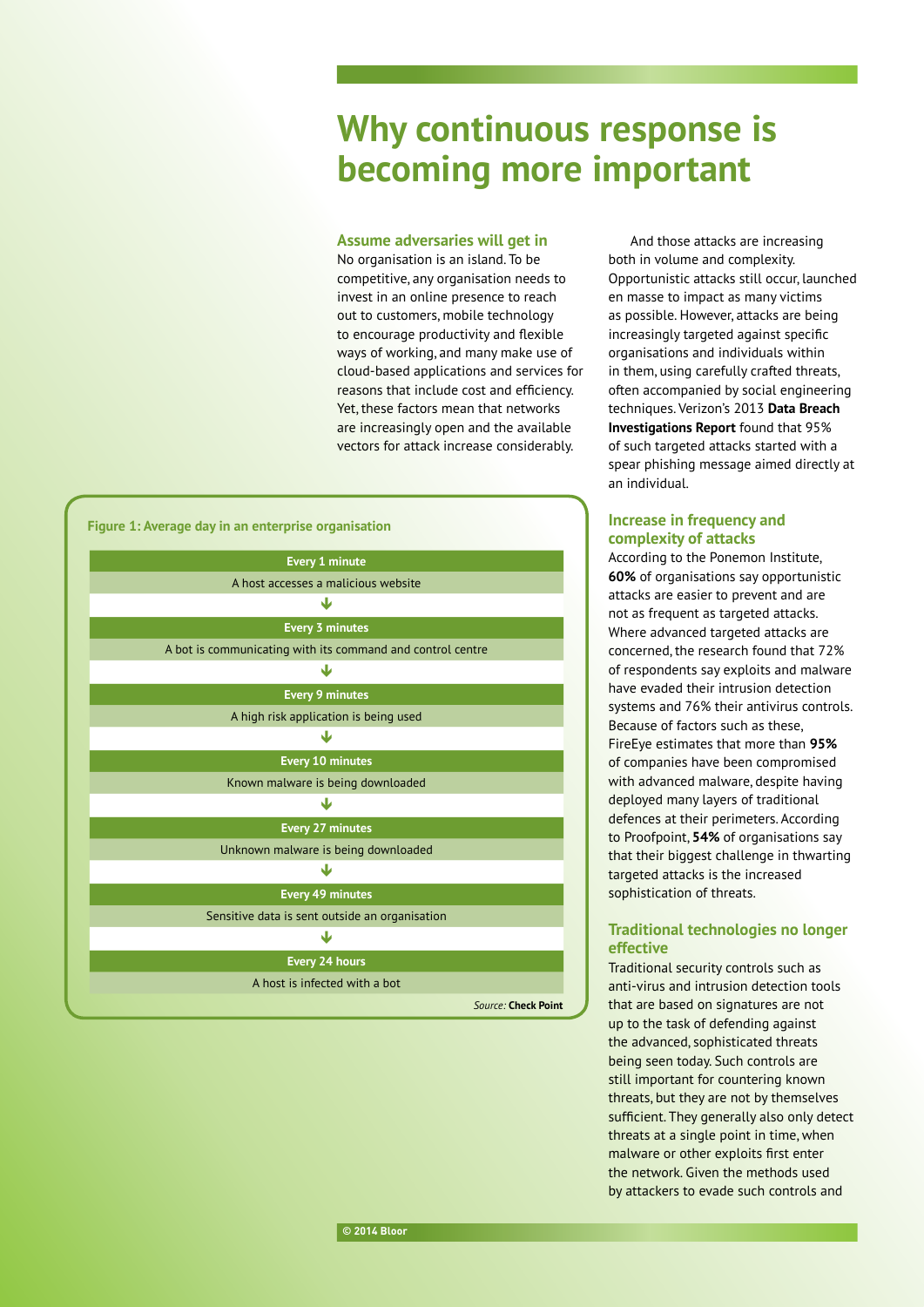## **Why continuous response is becoming more important**

#### **Assume adversaries will get in**

No organisation is an island. To be competitive, any organisation needs to invest in an online presence to reach out to customers, mobile technology to encourage productivity and flexible ways of working, and many make use of cloud-based applications and services for reasons that include cost and efficiency. Yet, these factors mean that networks are increasingly open and the available vectors for attack increase considerably.



And those attacks are increasing both in volume and complexity. Opportunistic attacks still occur, launched en masse to impact as many victims as possible. However, attacks are being increasingly targeted against specific organisations and individuals within in them, using carefully crafted threats, often accompanied by social engineering techniques. Verizon's 2013 **[Data Breach](http://www.verizonenterprise.com/resources/reports/rp_data-breach-investigations-report-2013_en_xg.pdf)  [Investigations Report](http://www.verizonenterprise.com/resources/reports/rp_data-breach-investigations-report-2013_en_xg.pdf)** found that 95% of such targeted attacks started with a spear phishing message aimed directly at an individual.

#### **Increase in frequency and complexity of attacks**

According to the Ponemon Institute, **[60%](http://www.bitpipe.com/detail/RES/1386348142_805.html)** of organisations say opportunistic attacks are easier to prevent and are not as frequent as targeted attacks. Where advanced targeted attacks are concerned, the research found that 72% of respondents say exploits and malware have evaded their intrusion detection systems and 76% their antivirus controls. Because of factors such as these, FireEye estimates that more than **[95%](http://www2.fireeye.com/rs/fireye/images/fireeye-advanced-targeted-attacks.pdf?mkt_tok=3RkMMJWWfF9wsRolu6rLZKXonjHpfsX56OorUKG1lMI%2F0ER3fOvrPUfGjI4DTMpqI%2BSLDwEYGJlv6SgFQrTNMaRp3rgPXxM%3D)**  of companies have been compromised with advanced malware, despite having deployed many layers of traditional defences at their perimeters. According to Proofpoint, **[54%](http://www.proofpoint.com/downloads/proofpoint-targeted-attacks-survey.pdf)** of organisations say that their biggest challenge in thwarting targeted attacks is the increased sophistication of threats.

#### **Traditional technologies no longer effective**

Traditional security controls such as anti-virus and intrusion detection tools that are based on signatures are not up to the task of defending against the advanced, sophisticated threats being seen today. Such controls are still important for countering known threats, but they are not by themselves sufficient. They generally also only detect threats at a single point in time, when malware or other exploits first enter the network. Given the methods used by attackers to evade such controls and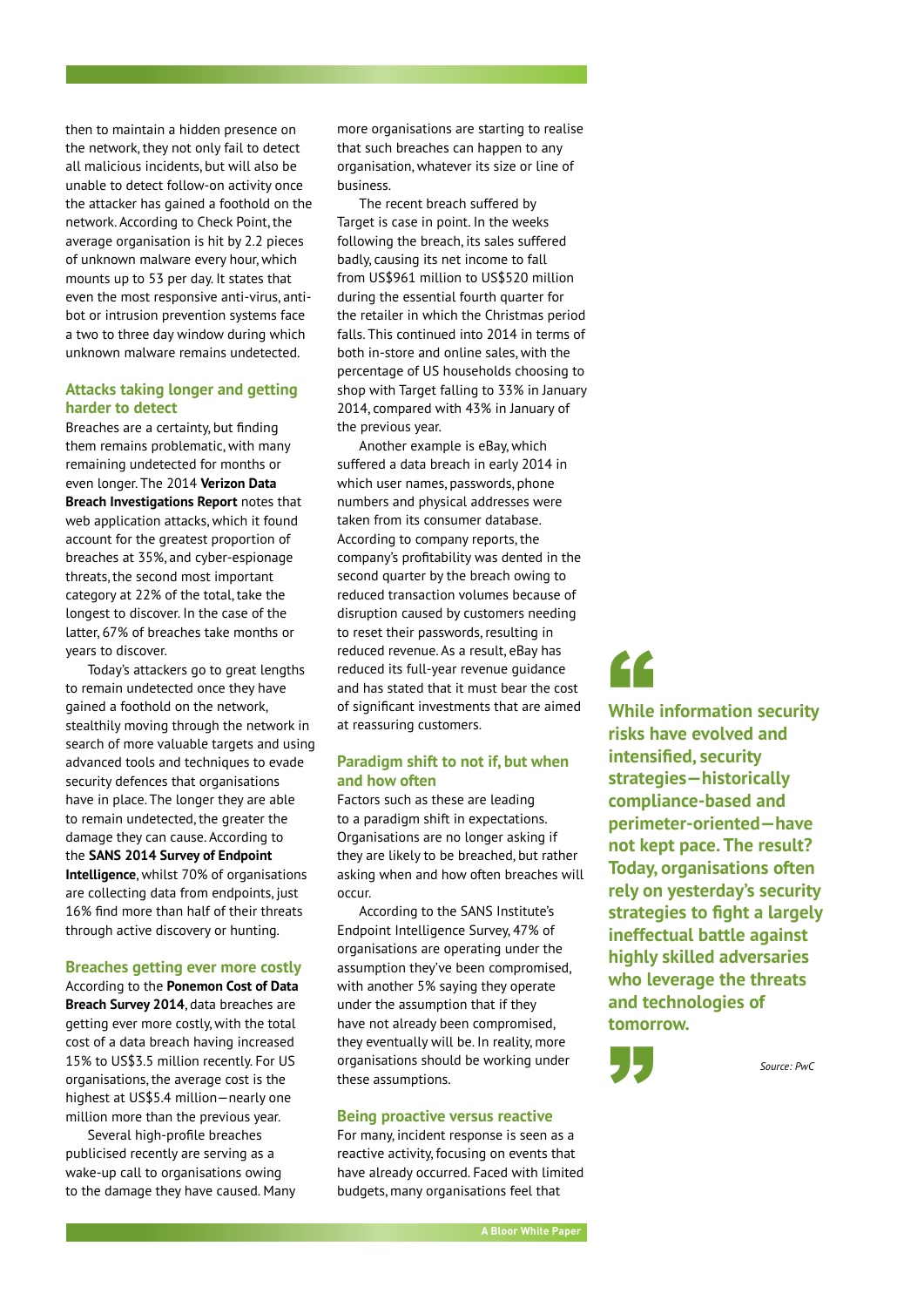then to maintain a hidden presence on the network, they not only fail to detect all malicious incidents, but will also be unable to detect follow-on activity once the attacker has gained a foothold on the network. According to Check Point, the average organisation is hit by 2.2 pieces of unknown malware every hour, which mounts up to 53 per day. It states that even the most responsive anti-virus, antibot or intrusion prevention systems face a two to three day window during which unknown malware remains undetected.

#### **Attacks taking longer and getting harder to detect**

Breaches are a certainty, but finding them remains problematic, with many remaining undetected for months or even longer. The 2014 **[Verizon Data](http://www.verizonenterprise.com/DBIR/2014/reports/rp_dbir-2014-executive-summary_en_xg.pdf)  [Breach Investigations Report](http://www.verizonenterprise.com/DBIR/2014/reports/rp_dbir-2014-executive-summary_en_xg.pdf)** notes that web application attacks, which it found account for the greatest proportion of breaches at 35%, and cyber-espionage threats, the second most important category at 22% of the total, take the longest to discover. In the case of the latter, 67% of breaches take months or years to discover.

Today's attackers go to great lengths to remain undetected once they have gained a foothold on the network, stealthily moving through the network in search of more valuable targets and using advanced tools and techniques to evade security defences that organisations have in place. The longer they are able to remain undetected, the greater the damage they can cause. According to the **[SANS 2014 Survey of Endpoint](https://www.guidancesoftware.com/resources/Pages/doclib/Document-Library/SANS-2014-Survey-of-Endpoint-Intelligence.aspx)  [Intelligence](https://www.guidancesoftware.com/resources/Pages/doclib/Document-Library/SANS-2014-Survey-of-Endpoint-Intelligence.aspx)**, whilst 70% of organisations are collecting data from endpoints, just 16% find more than half of their threats through active discovery or hunting.

#### **Breaches getting ever more costly**

According to the **[Ponemon Cost of Data](http://www.ponemon.org/blog/ponemon-institute-releases-2014-cost-of-data-breach-global-analysis)  [Breach Survey 2014](http://www.ponemon.org/blog/ponemon-institute-releases-2014-cost-of-data-breach-global-analysis)**, data breaches are getting ever more costly, with the total cost of a data breach having increased 15% to US\$3.5 million recently. For US organisations, the average cost is the highest at US\$5.4 million—nearly one million more than the previous year.

Several high-profile breaches publicised recently are serving as a wake-up call to organisations owing to the damage they have caused. Many

more organisations are starting to realise that such breaches can happen to any organisation, whatever its size or line of business.

The recent breach suffered by Target is case in point. In the weeks following the breach, its sales suffered badly, causing its net income to fall from US\$961 million to US\$520 million during the essential fourth quarter for the retailer in which the Christmas period falls. This continued into 2014 in terms of both in-store and online sales, with the percentage of US households choosing to shop with Target falling to 33% in January 2014, compared with 43% in January of the previous year.

Another example is eBay, which suffered a data breach in early 2014 in which user names, passwords, phone numbers and physical addresses were taken from its consumer database. According to company reports, the company's profitability was dented in the second quarter by the breach owing to reduced transaction volumes because of disruption caused by customers needing to reset their passwords, resulting in reduced revenue. As a result, eBay has reduced its full-year revenue guidance and has stated that it must bear the cost of significant investments that are aimed at reassuring customers.

#### **Paradigm shift to not if, but when and how often**

Factors such as these are leading to a paradigm shift in expectations. Organisations are no longer asking if they are likely to be breached, but rather asking when and how often breaches will occur.

According to the SANS Institute's Endpoint Intelligence Survey, 47% of organisations are operating under the assumption they've been compromised, with another 5% saying they operate under the assumption that if they have not already been compromised, they eventually will be. In reality, more organisations should be working under these assumptions.

#### **Being proactive versus reactive**

For many, incident response is seen as a reactive activity, focusing on events that have already occurred. Faced with limited budgets, many organisations feel that

# "

**While information security risks have evolved and intensified, security strategies—historically compliance-based and perimeter-oriented—have not kept pace. The result? Today, organisations often rely on yesterday's security strategies to fight a largely ineffectual battle against highly skilled adversaries who leverage the threats and technologies of tomorrow.**

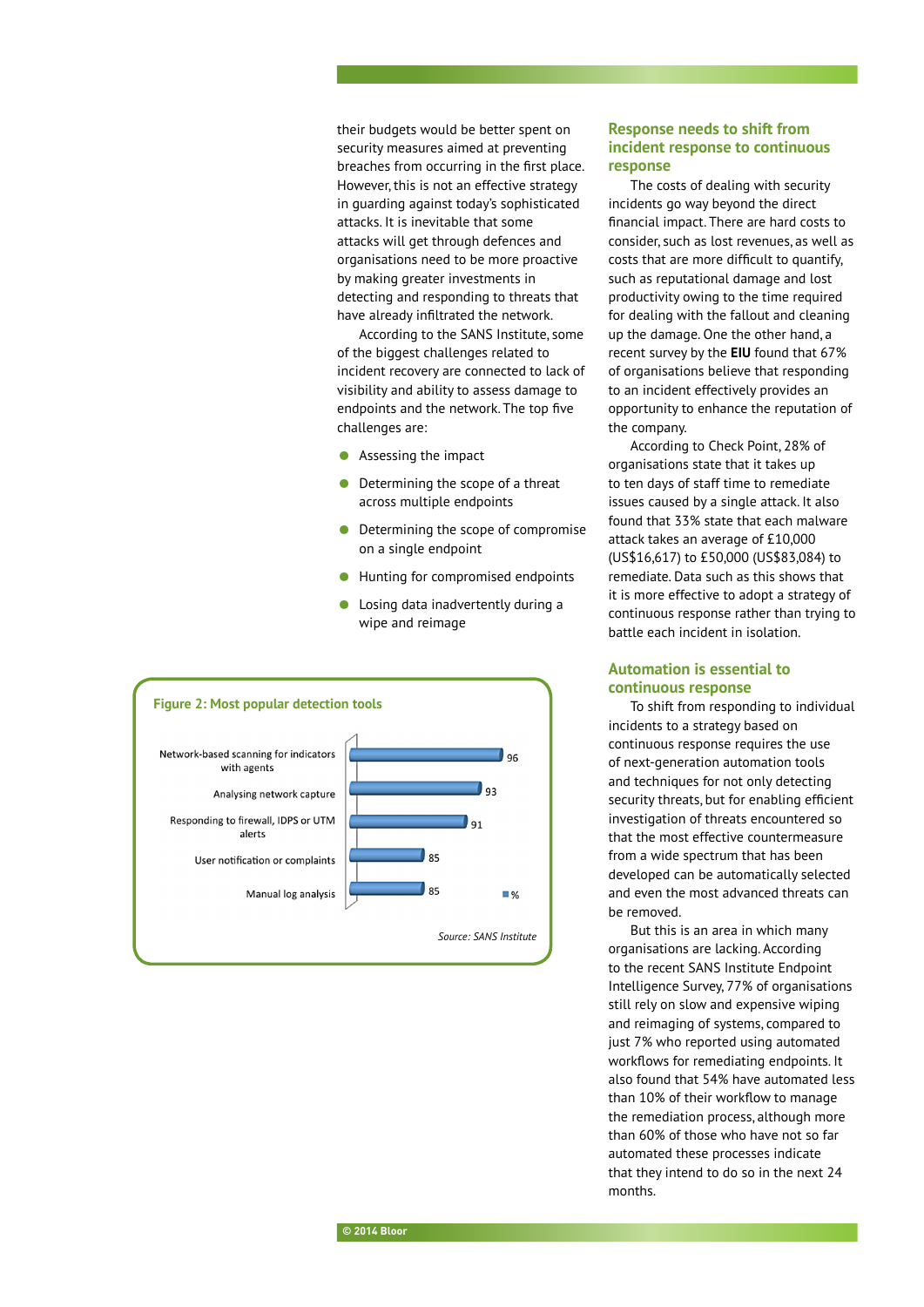their budgets would be better spent on security measures aimed at preventing breaches from occurring in the first place. However, this is not an effective strategy in guarding against today's sophisticated attacks. It is inevitable that some attacks will get through defences and organisations need to be more proactive by making greater investments in detecting and responding to threats that have already infiltrated the network.

According to the SANS Institute, some of the biggest challenges related to incident recovery are connected to lack of visibility and ability to assess damage to endpoints and the network. The top five challenges are:

- Assessing the impact
- Determining the scope of a threat across multiple endpoints
- Determining the scope of compromise on a single endpoint
- Hunting for compromised endpoints
- Losing data inadvertently during a wipe and reimage



#### **Response needs to shift from incident response to continuous response**

The costs of dealing with security incidents go way beyond the direct financial impact. There are hard costs to consider, such as lost revenues, as well as costs that are more difficult to quantify, such as reputational damage and lost productivity owing to the time required for dealing with the fallout and cleaning up the damage. One the other hand, a recent survey by the **[EIU](http://www.economistinsights.com/sites/default/files/EIU_Cyber_incident_response_Are_business_leaders_ready.pdf)** found that 67% of organisations believe that responding to an incident effectively provides an opportunity to enhance the reputation of the company.

According to Check Point, 28% of organisations state that it takes up to ten days of staff time to remediate issues caused by a single attack. It also found that 33% state that each malware attack takes an average of £10,000 (US\$16,617) to £50,000 (US\$83,084) to remediate. Data such as this shows that it is more effective to adopt a strategy of continuous response rather than trying to battle each incident in isolation.

#### **Automation is essential to continuous response**

To shift from responding to individual incidents to a strategy based on continuous response requires the use of next-generation automation tools and techniques for not only detecting security threats, but for enabling efficient investigation of threats encountered so that the most effective countermeasure from a wide spectrum that has been developed can be automatically selected and even the most advanced threats can be removed.

But this is an area in which many organisations are lacking. According to the recent SANS Institute Endpoint Intelligence Survey, 77% of organisations still rely on slow and expensive wiping and reimaging of systems, compared to just 7% who reported using automated workflows for remediating endpoints. It also found that 54% have automated less than 10% of their workflow to manage the remediation process, although more than 60% of those who have not so far automated these processes indicate that they intend to do so in the next 24 months.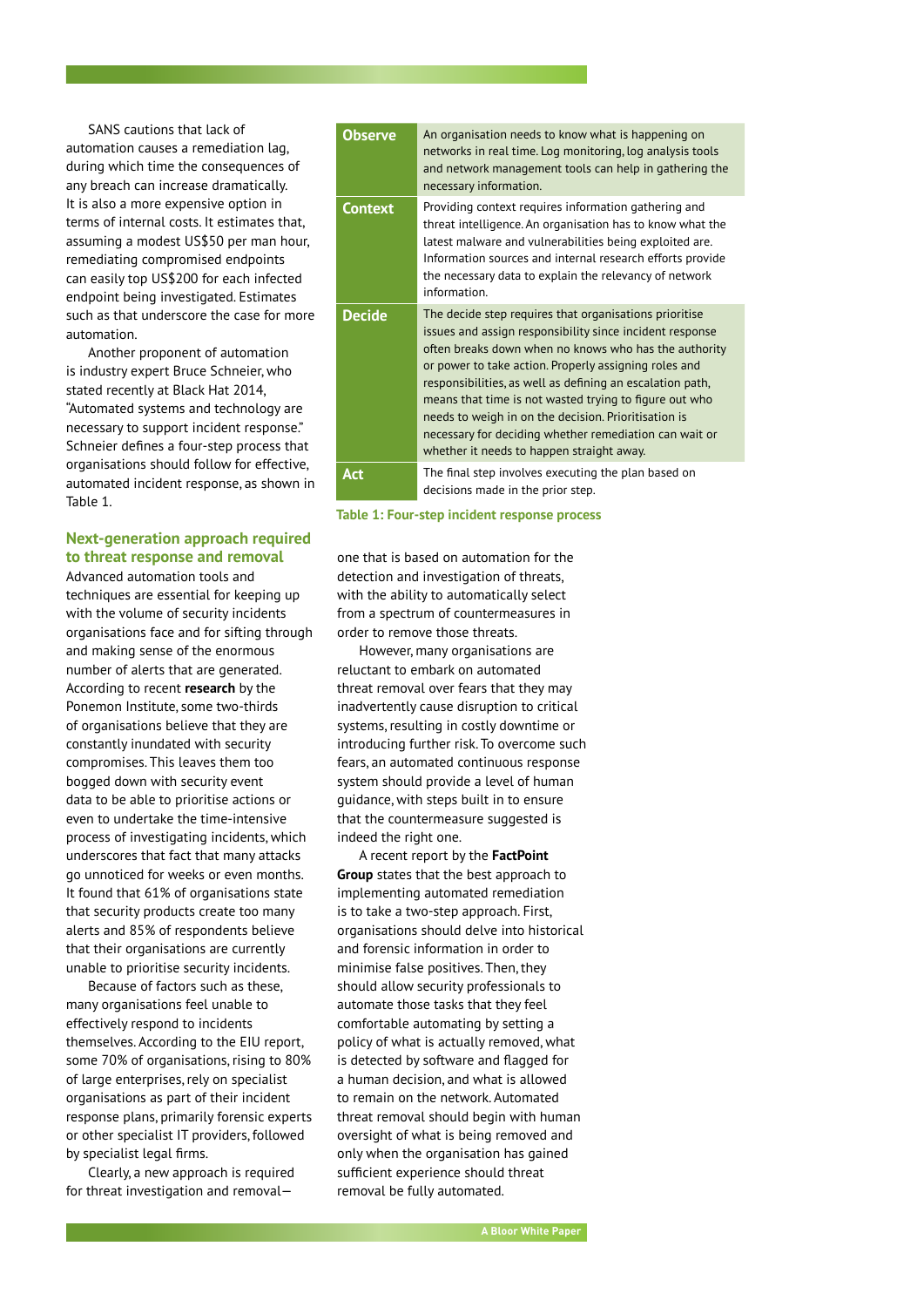SANS cautions that lack of automation causes a remediation lag, during which time the consequences of any breach can increase dramatically. It is also a more expensive option in terms of internal costs. It estimates that, assuming a modest US\$50 per man hour, remediating compromised endpoints can easily top US\$200 for each infected endpoint being investigated. Estimates such as that underscore the case for more automation.

Another proponent of automation is industry expert Bruce Schneier, who stated recently at Black Hat 2014, "Automated systems and technology are necessary to support incident response." Schneier defines a four-step process that organisations should follow for effective, automated incident response, as shown in Table 1.

#### **Next-generation approach required to threat response and removal**

Advanced automation tools and techniques are essential for keeping up with the volume of security incidents organisations face and for sifting through and making sense of the enormous number of alerts that are generated. According to recent **[research](http://www.lancope.com/files/documents/Industry-Reports/Lancope-Ponemon-Report-Cyber-Security-Incident-Response.pdf)** by the Ponemon Institute, some two-thirds of organisations believe that they are constantly inundated with security compromises. This leaves them too bogged down with security event data to be able to prioritise actions or even to undertake the time-intensive process of investigating incidents, which underscores that fact that many attacks go unnoticed for weeks or even months. It found that 61% of organisations state that security products create too many alerts and 85% of respondents believe that their organisations are currently unable to prioritise security incidents.

Because of factors such as these, many organisations feel unable to effectively respond to incidents themselves. According to the EIU report, some 70% of organisations, rising to 80% of large enterprises, rely on specialist organisations as part of their incident response plans, primarily forensic experts or other specialist IT providers, followed by specialist legal firms.

Clearly, a new approach is required for threat investigation and removal—

| <b>Observe</b> | An organisation needs to know what is happening on<br>networks in real time. Log monitoring, log analysis tools<br>and network management tools can help in gathering the<br>necessary information.                                                                                                                                                                                                                                                                                                                        |
|----------------|----------------------------------------------------------------------------------------------------------------------------------------------------------------------------------------------------------------------------------------------------------------------------------------------------------------------------------------------------------------------------------------------------------------------------------------------------------------------------------------------------------------------------|
| <b>Context</b> | Providing context requires information gathering and<br>threat intelligence. An organisation has to know what the<br>latest malware and vulnerabilities being exploited are.<br>Information sources and internal research efforts provide<br>the necessary data to explain the relevancy of network<br>information                                                                                                                                                                                                         |
| <b>Decide</b>  | The decide step requires that organisations prioritise<br>issues and assign responsibility since incident response<br>often breaks down when no knows who has the authority<br>or power to take action. Properly assigning roles and<br>responsibilities, as well as defining an escalation path,<br>means that time is not wasted trying to figure out who<br>needs to weigh in on the decision. Prioritisation is<br>necessary for deciding whether remediation can wait or<br>whether it needs to happen straight away. |
| <b>Act</b>     | The final step involves executing the plan based on<br>decisions made in the prior step.                                                                                                                                                                                                                                                                                                                                                                                                                                   |

**Table 1: Four-step incident response process**

one that is based on automation for the detection and investigation of threats. with the ability to automatically select from a spectrum of countermeasures in order to remove those threats.

However, many organisations are reluctant to embark on automated threat removal over fears that they may inadvertently cause disruption to critical systems, resulting in costly downtime or introducing further risk. To overcome such fears, an automated continuous response system should provide a level of human guidance, with steps built in to ensure that the countermeasure suggested is indeed the right one.

A recent report by the **[FactPoint](http://www.hexiscyber.com/documents/case-automated-malware-removal)  [Group](http://www.hexiscyber.com/documents/case-automated-malware-removal)** states that the best approach to implementing automated remediation is to take a two-step approach. First, organisations should delve into historical and forensic information in order to minimise false positives. Then, they should allow security professionals to automate those tasks that they feel comfortable automating by setting a policy of what is actually removed, what is detected by software and flagged for a human decision, and what is allowed to remain on the network. Automated threat removal should begin with human oversight of what is being removed and only when the organisation has gained sufficient experience should threat removal be fully automated.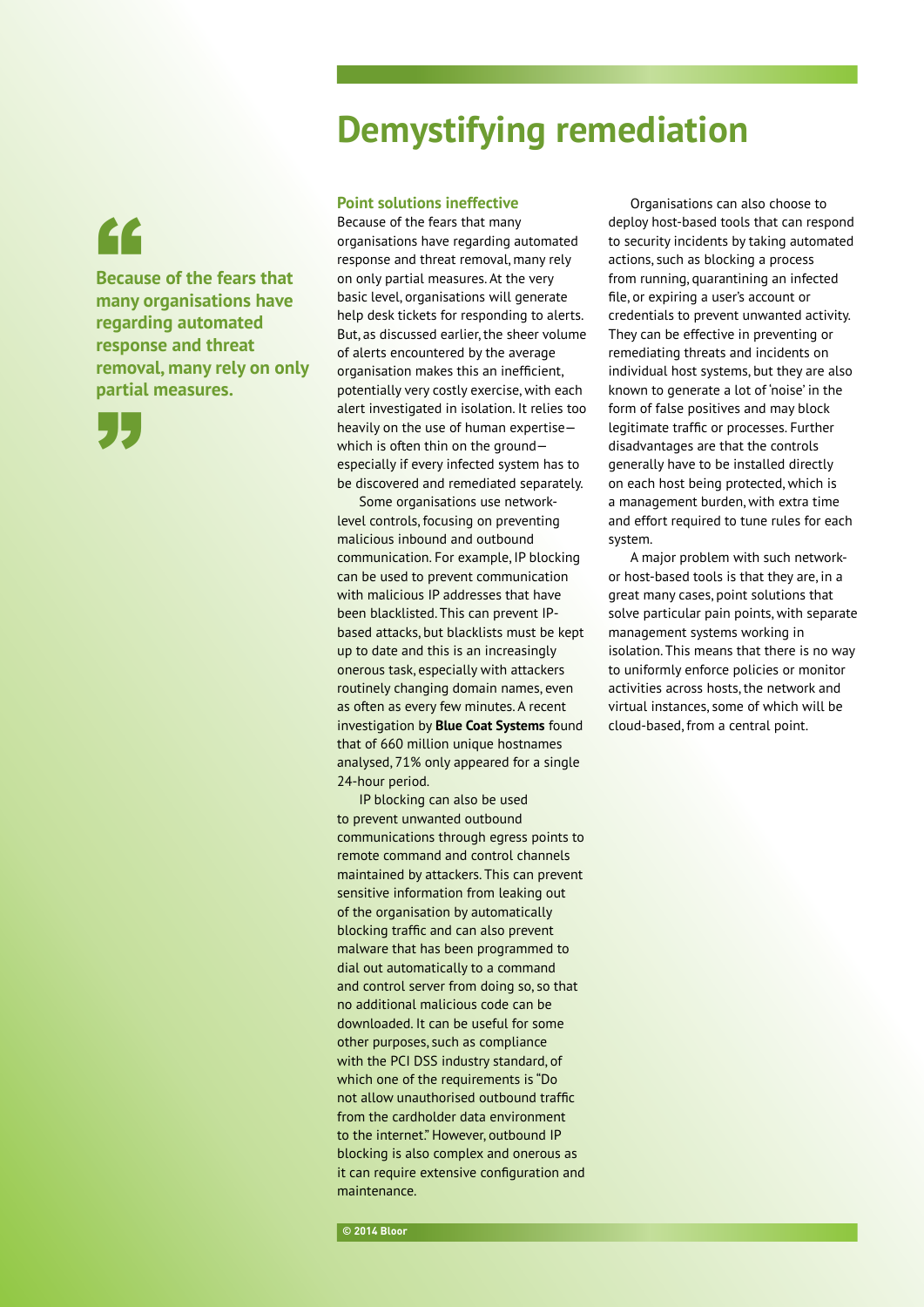## "

**Because of the fears that many organisations have regarding automated response and threat removal, many rely on only partial measures.**



#### **Point solutions ineffective**

Because of the fears that many organisations have regarding automated response and threat removal, many rely on only partial measures. At the very basic level, organisations will generate help desk tickets for responding to alerts. But, as discussed earlier, the sheer volume of alerts encountered by the average organisation makes this an inefficient, potentially very costly exercise, with each alert investigated in isolation. It relies too heavily on the use of human expertise which is often thin on the ground especially if every infected system has to be discovered and remediated separately.

**Demystifying remediation**

Some organisations use networklevel controls, focusing on preventing malicious inbound and outbound communication. For example, IP blocking can be used to prevent communication with malicious IP addresses that have been blacklisted. This can prevent IPbased attacks, but blacklists must be kept up to date and this is an increasingly onerous task, especially with attackers routinely changing domain names, even as often as every few minutes. A recent investigation by **[Blue Coat Systems](https://www.bluecoat.com/company/press-releases/blue-coat-reveals-security-risks-one-day-wonders-websites)** found that of 660 million unique hostnames analysed, 71% only appeared for a single 24-hour period.

IP blocking can also be used to prevent unwanted outbound communications through egress points to remote command and control channels maintained by attackers. This can prevent sensitive information from leaking out of the organisation by automatically blocking traffic and can also prevent malware that has been programmed to dial out automatically to a command and control server from doing so, so that no additional malicious code can be downloaded. It can be useful for some other purposes, such as compliance with the PCI DSS industry standard, of which one of the requirements is "Do not allow unauthorised outbound traffic from the cardholder data environment to the internet." However, outbound IP blocking is also complex and onerous as it can require extensive configuration and maintenance.

Organisations can also choose to deploy host-based tools that can respond to security incidents by taking automated actions, such as blocking a process from running, quarantining an infected file, or expiring a user's account or credentials to prevent unwanted activity. They can be effective in preventing or remediating threats and incidents on individual host systems, but they are also known to generate a lot of 'noise' in the form of false positives and may block legitimate traffic or processes. Further disadvantages are that the controls generally have to be installed directly on each host being protected, which is a management burden, with extra time and effort required to tune rules for each system.

A major problem with such networkor host-based tools is that they are, in a great many cases, point solutions that solve particular pain points, with separate management systems working in isolation. This means that there is no way to uniformly enforce policies or monitor activities across hosts, the network and virtual instances, some of which will be cloud-based, from a central point.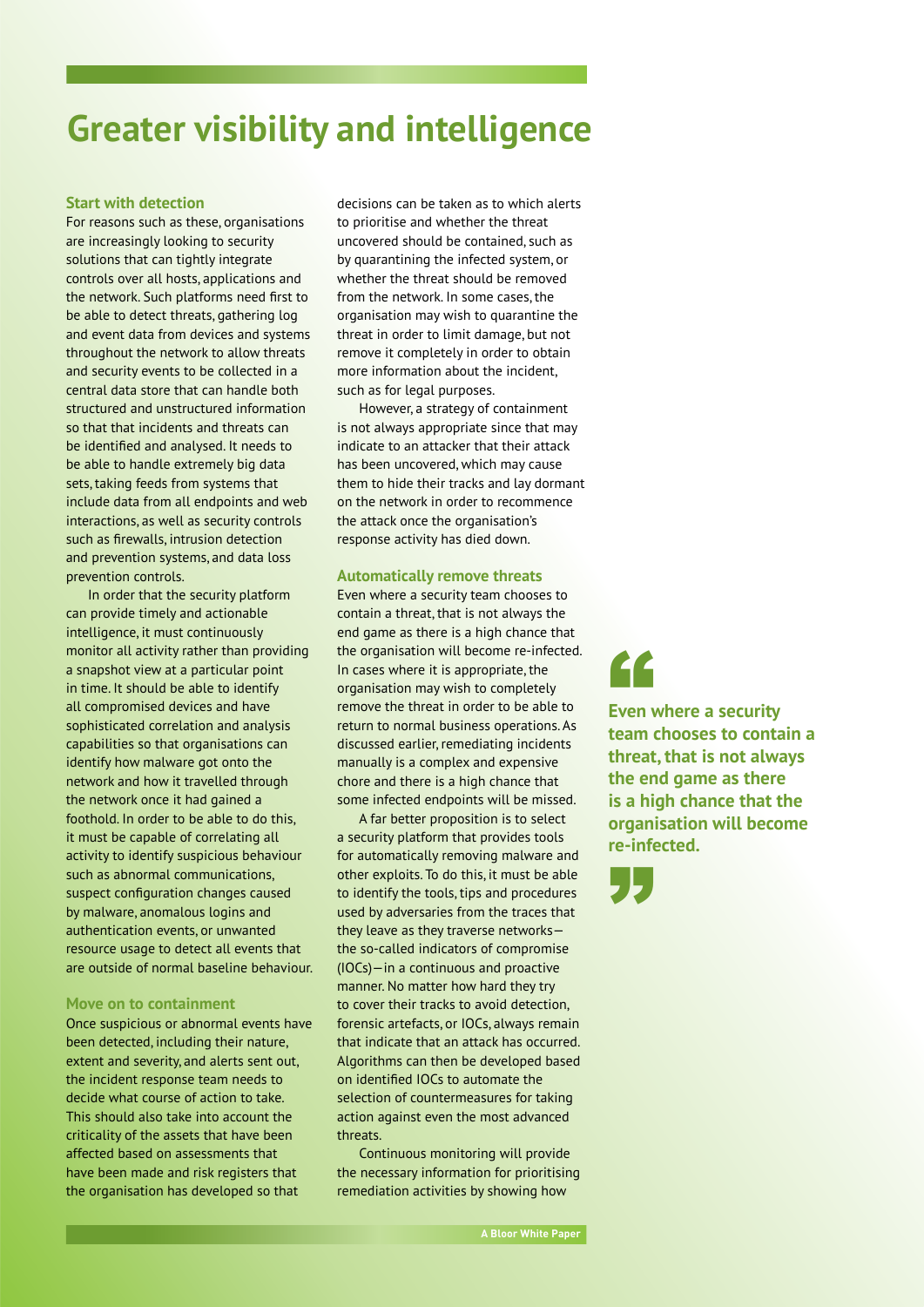## **Greater visibility and intelligence**

#### **Start with detection**

For reasons such as these, organisations are increasingly looking to security solutions that can tightly integrate controls over all hosts, applications and the network. Such platforms need first to be able to detect threats, gathering log and event data from devices and systems throughout the network to allow threats and security events to be collected in a central data store that can handle both structured and unstructured information so that that incidents and threats can be identified and analysed. It needs to be able to handle extremely big data sets, taking feeds from systems that include data from all endpoints and web interactions, as well as security controls such as firewalls, intrusion detection and prevention systems, and data loss prevention controls.

In order that the security platform can provide timely and actionable intelligence, it must continuously monitor all activity rather than providing a snapshot view at a particular point in time. It should be able to identify all compromised devices and have sophisticated correlation and analysis capabilities so that organisations can identify how malware got onto the network and how it travelled through the network once it had gained a foothold. In order to be able to do this, it must be capable of correlating all activity to identify suspicious behaviour such as abnormal communications, suspect configuration changes caused by malware, anomalous logins and authentication events, or unwanted resource usage to detect all events that are outside of normal baseline behaviour.

#### **Move on to containment**

Once suspicious or abnormal events have been detected, including their nature, extent and severity, and alerts sent out, the incident response team needs to decide what course of action to take. This should also take into account the criticality of the assets that have been affected based on assessments that have been made and risk registers that the organisation has developed so that

decisions can be taken as to which alerts to prioritise and whether the threat uncovered should be contained, such as by quarantining the infected system, or whether the threat should be removed from the network. In some cases, the organisation may wish to quarantine the threat in order to limit damage, but not remove it completely in order to obtain more information about the incident, such as for legal purposes.

However, a strategy of containment is not always appropriate since that may indicate to an attacker that their attack has been uncovered, which may cause them to hide their tracks and lay dormant on the network in order to recommence the attack once the organisation's response activity has died down.

#### **Automatically remove threats**

Even where a security team chooses to contain a threat, that is not always the end game as there is a high chance that the organisation will become re-infected. In cases where it is appropriate, the organisation may wish to completely remove the threat in order to be able to return to normal business operations. As discussed earlier, remediating incidents manually is a complex and expensive chore and there is a high chance that some infected endpoints will be missed.

A far better proposition is to select a security platform that provides tools for automatically removing malware and other exploits. To do this, it must be able to identify the tools, tips and procedures used by adversaries from the traces that they leave as they traverse networks the so-called indicators of compromise (IOCs)—in a continuous and proactive manner. No matter how hard they try to cover their tracks to avoid detection, forensic artefacts, or IOCs, always remain that indicate that an attack has occurred. Algorithms can then be developed based on identified IOCs to automate the selection of countermeasures for taking action against even the most advanced threats.

Continuous monitoring will provide the necessary information for prioritising remediation activities by showing how

# "

**Even where a security team chooses to contain a threat, that is not always the end game as there is a high chance that the organisation will become re-infected.**

**"**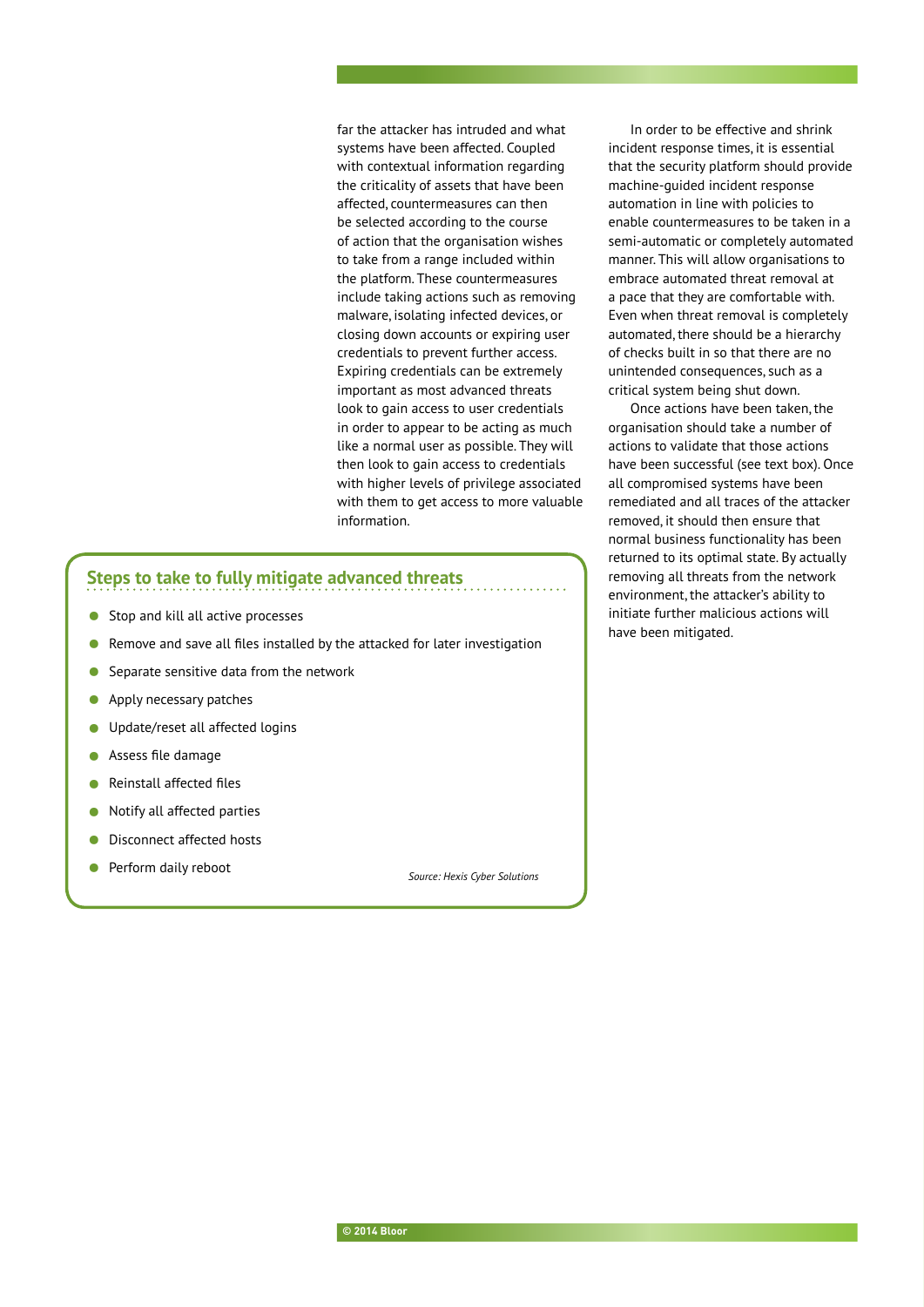far the attacker has intruded and what systems have been affected. Coupled with contextual information regarding the criticality of assets that have been affected, countermeasures can then be selected according to the course of action that the organisation wishes to take from a range included within the platform. These countermeasures include taking actions such as removing malware, isolating infected devices, or closing down accounts or expiring user credentials to prevent further access. Expiring credentials can be extremely important as most advanced threats look to gain access to user credentials in order to appear to be acting as much like a normal user as possible. They will then look to gain access to credentials with higher levels of privilege associated with them to get access to more valuable information.

### **Steps to take to fully mitigate advanced threats**

- Stop and kill all active processes
- Remove and save all files installed by the attacked for later investigation
- Separate sensitive data from the network
- Apply necessary patches
- **•** Update/reset all affected logins
- Assess file damage
- Reinstall affected files
- Notify all affected parties
- Disconnect affected hosts
- Perform daily reboot *Source: Hexis Cyber Solutions*

In order to be effective and shrink incident response times, it is essential that the security platform should provide machine-guided incident response automation in line with policies to enable countermeasures to be taken in a semi-automatic or completely automated manner. This will allow organisations to embrace automated threat removal at a pace that they are comfortable with. Even when threat removal is completely automated, there should be a hierarchy of checks built in so that there are no unintended consequences, such as a critical system being shut down.

Once actions have been taken, the organisation should take a number of actions to validate that those actions have been successful (see text box). Once all compromised systems have been remediated and all traces of the attacker removed, it should then ensure that normal business functionality has been returned to its optimal state. By actually removing all threats from the network environment, the attacker's ability to initiate further malicious actions will have been mitigated.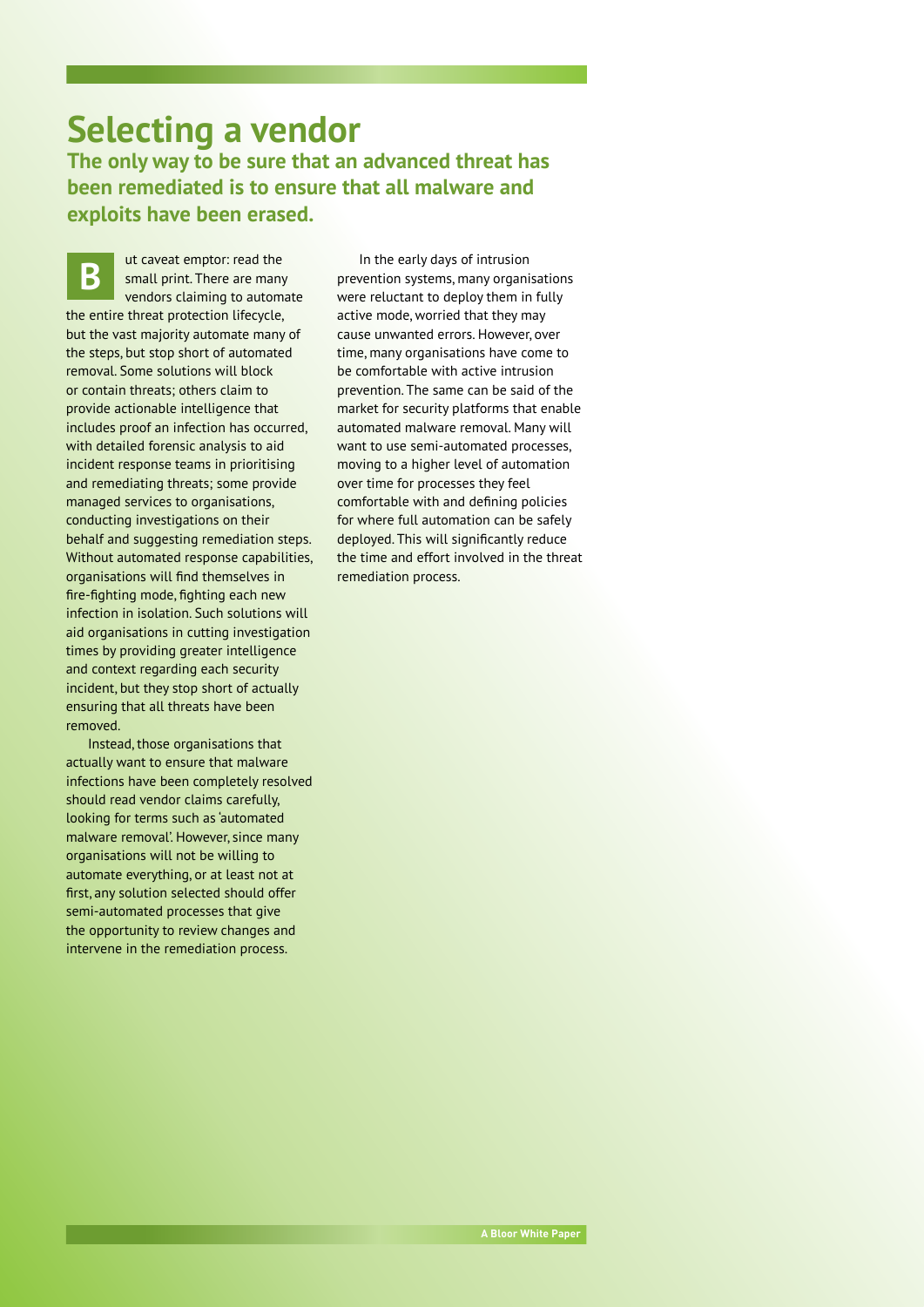### **Selecting a vendor The only way to be sure that an advanced threat has been remediated is to ensure that all malware and exploits have been erased.**

ut caveat emptor: read the small print. There are many vendors claiming to automate the entire threat protection lifecycle, but the vast majority automate many of the steps, but stop short of automated removal. Some solutions will block or contain threats; others claim to provide actionable intelligence that includes proof an infection has occurred, with detailed forensic analysis to aid incident response teams in prioritising and remediating threats; some provide managed services to organisations, conducting investigations on their behalf and suggesting remediation steps. Without automated response capabilities, organisations will find themselves in fire-fighting mode, fighting each new infection in isolation. Such solutions will aid organisations in cutting investigation times by providing greater intelligence and context regarding each security incident, but they stop short of actually ensuring that all threats have been removed.

Instead, those organisations that actually want to ensure that malware infections have been completely resolved should read vendor claims carefully, looking for terms such as 'automated malware removal'. However, since many organisations will not be willing to automate everything, or at least not at first, any solution selected should offer semi-automated processes that give the opportunity to review changes and intervene in the remediation process.

In the early days of intrusion<br> **B prevention systems**, many organisations<br> **B** prevention systems, many organisations were reluctant to deploy them in fully active mode, worried that they may cause unwanted errors. However, over time, many organisations have come to be comfortable with active intrusion prevention. The same can be said of the market for security platforms that enable automated malware removal. Many will want to use semi-automated processes, moving to a higher level of automation over time for processes they feel comfortable with and defining policies for where full automation can be safely deployed. This will significantly reduce the time and effort involved in the threat remediation process.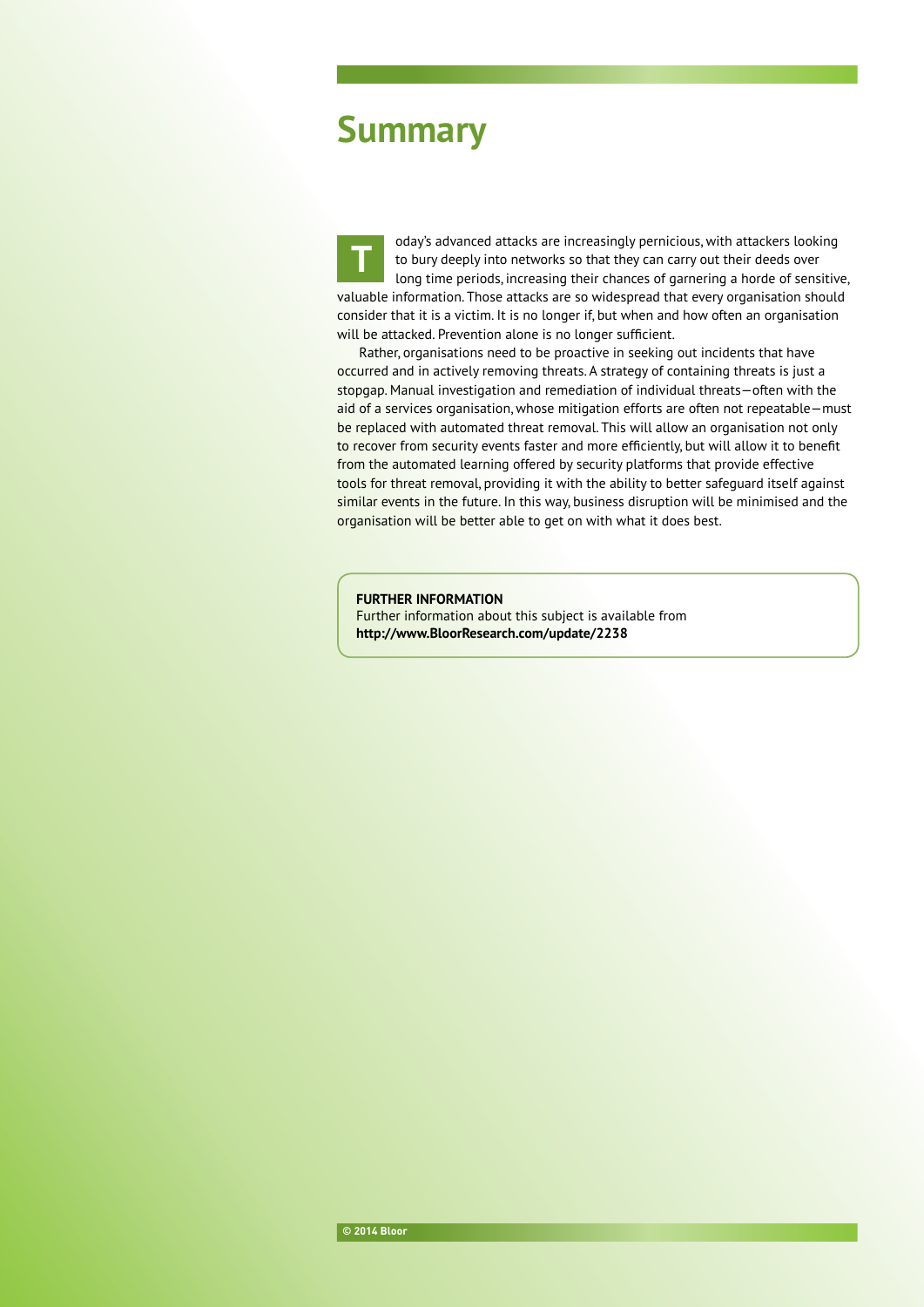### **Summary**

oday's advanced attacks are increasingly pernicious, with attackers looking to bury deeply into networks so that they can carry out their deeds over long time periods, increasing their chances of garnering a horde of sensitive, valuable information. Those attacks are so widespread that every organisation should consider that it is a victim. It is no longer if, but when and how often an organisation will be attacked. Prevention alone is no longer sufficient. **T**

Rather, organisations need to be proactive in seeking out incidents that have occurred and in actively removing threats. A strategy of containing threats is just a stopgap. Manual investigation and remediation of individual threats—often with the aid of a services organisation, whose mitigation efforts are often not repeatable—must be replaced with automated threat removal. This will allow an organisation not only to recover from security events faster and more efficiently, but will allow it to benefit from the automated learning offered by security platforms that provide effective tools for threat removal, providing it with the ability to better safeguard itself against similar events in the future. In this way, business disruption will be minimised and the organisation will be better able to get on with what it does best.

**FURTHER INFORMATION**

Further information about this subject is available from **<http://www.BloorResearch.com/update/2238>**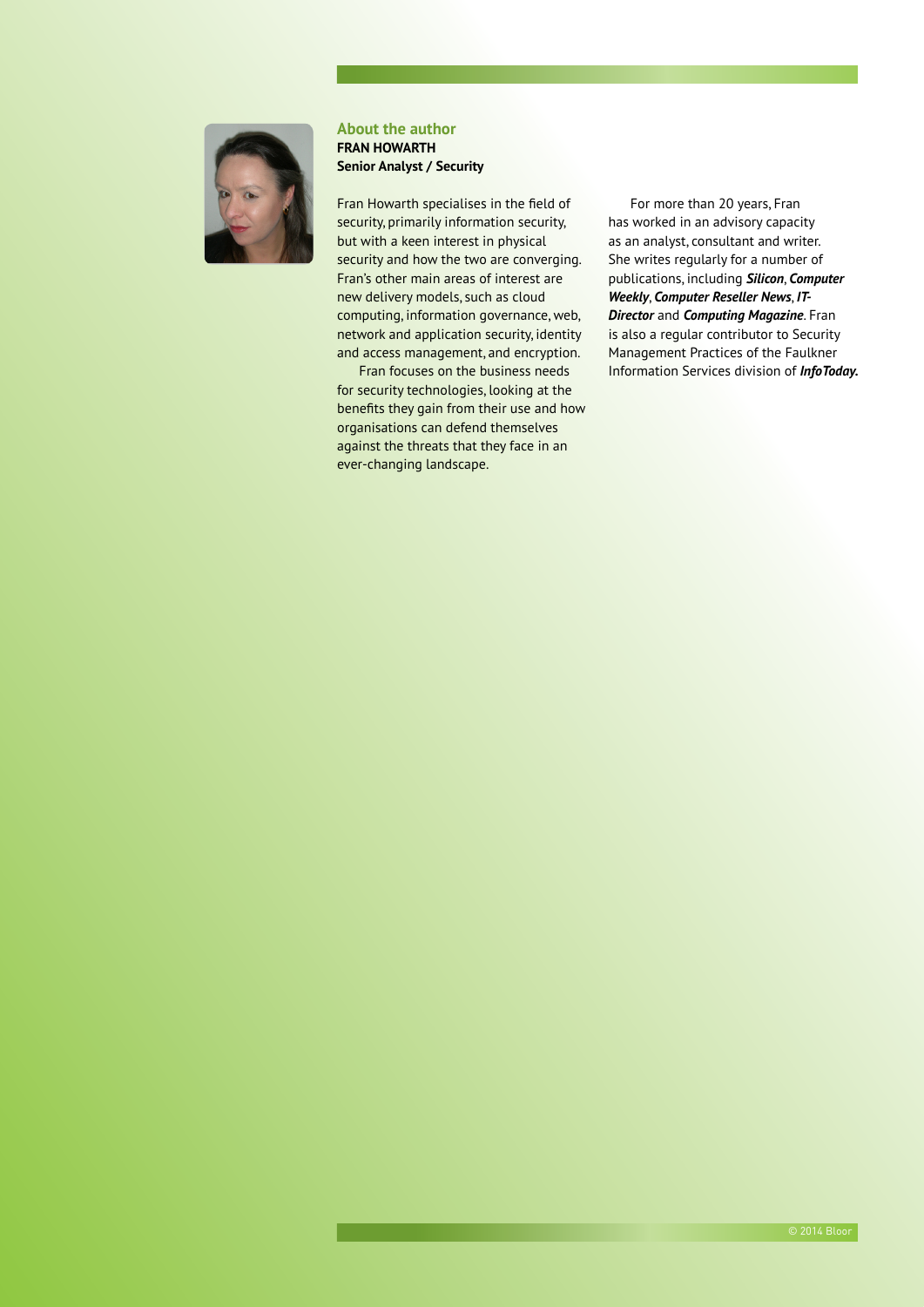

#### **About the author FRAN HOWARTH Senior Analyst / Security**

Fran Howarth specialises in the field of security, primarily information security, but with a keen interest in physical security and how the two are converging. Fran's other main areas of interest are new delivery models, such as cloud computing, information governance, web, network and application security, identity and access management, and encryption.

Fran focuses on the business needs for security technologies, looking at the benefits they gain from their use and how organisations can defend themselves against the threats that they face in an ever-changing landscape.

For more than 20 years, Fran has worked in an advisory capacity as an analyst, consultant and writer. She writes regularly for a number of publications, including *Silicon*, *Computer Weekly*, *Computer Reseller News*, *IT-Director* and *Computing Magazine*. Fran is also a regular contributor to Security Management Practices of the Faulkner Information Services division of *InfoToday.*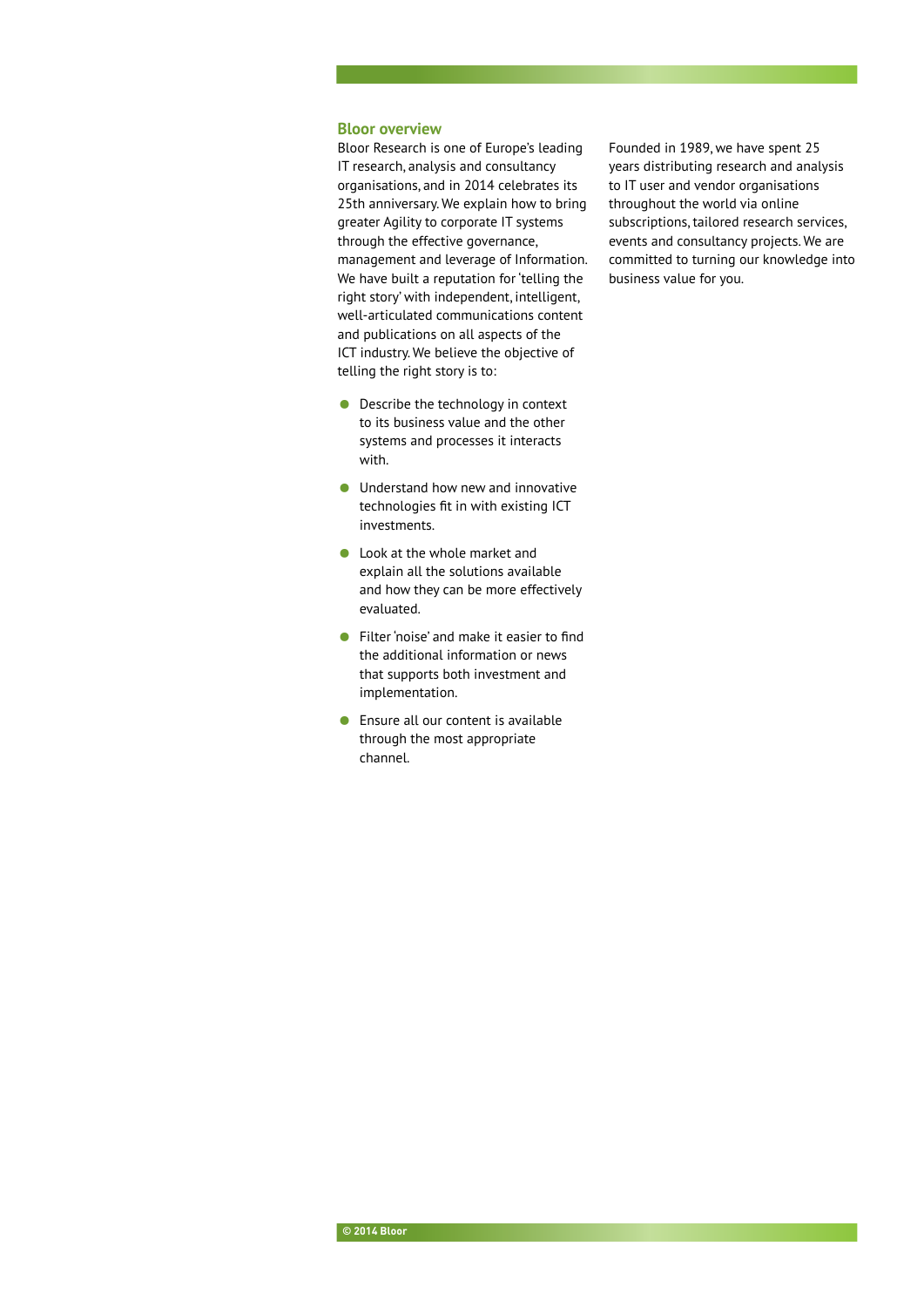#### **Bloor overview**

Bloor Research is one of Europe's leading IT research, analysis and consultancy organisations, and in 2014 celebrates its 25th anniversary. We explain how to bring greater Agility to corporate IT systems through the effective governance, management and leverage of Information. We have built a reputation for 'telling the right story' with independent, intelligent, well-articulated communications content and publications on all aspects of the ICT industry. We believe the objective of telling the right story is to:

- Describe the technology in context to its business value and the other systems and processes it interacts with.
- Understand how new and innovative technologies fit in with existing ICT investments.
- Look at the whole market and explain all the solutions available and how they can be more effectively evaluated.
- Filter 'noise' and make it easier to find the additional information or news that supports both investment and implementation.
- Ensure all our content is available through the most appropriate channel.

Founded in 1989, we have spent 25 years distributing research and analysis to IT user and vendor organisations throughout the world via online subscriptions, tailored research services, events and consultancy projects. We are committed to turning our knowledge into business value for you.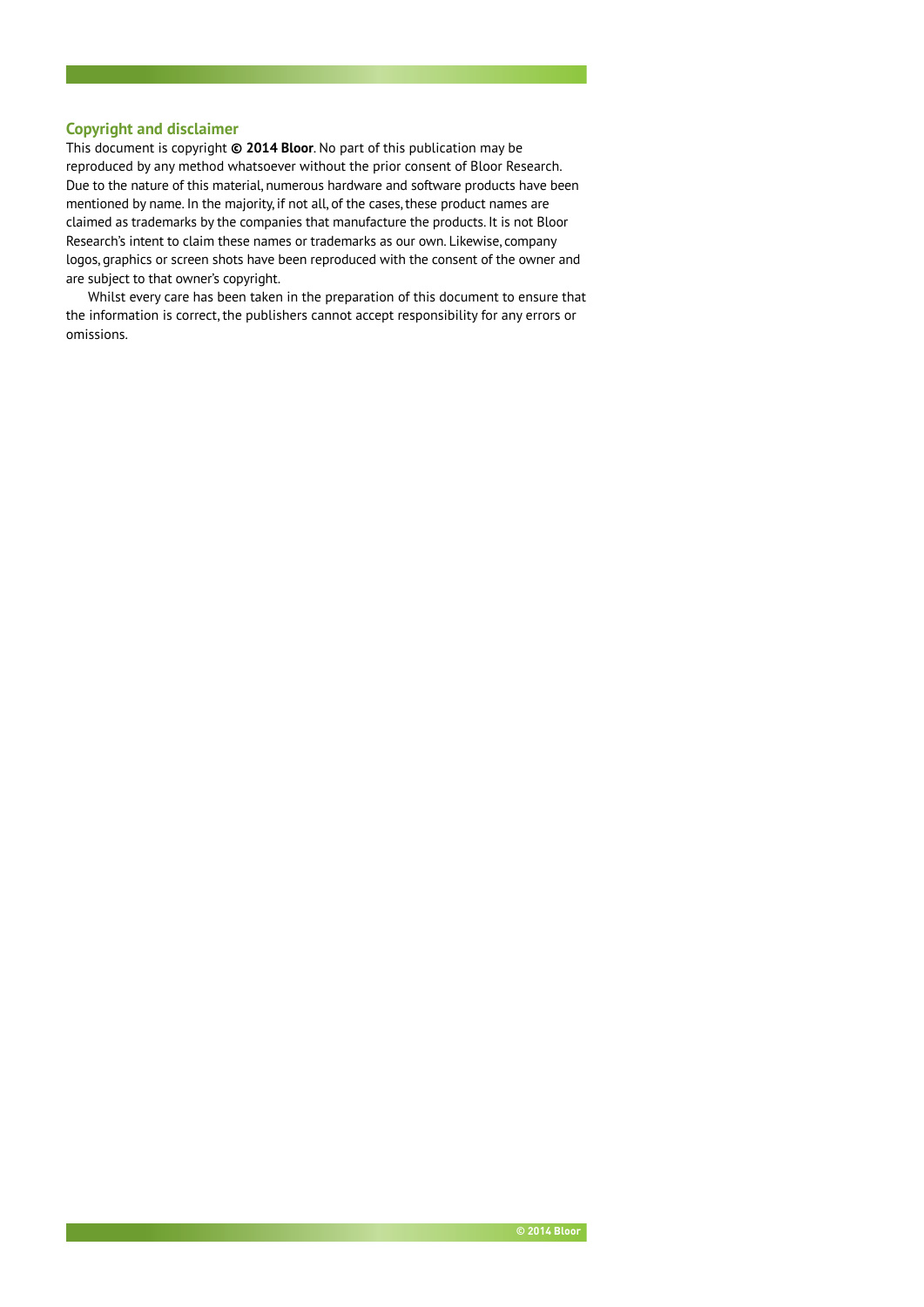#### **Copyright and disclaimer**

This document is copyright **© 2014 Bloor**. No part of this publication may be reproduced by any method whatsoever without the prior consent of Bloor Research. Due to the nature of this material, numerous hardware and software products have been mentioned by name. In the majority, if not all, of the cases, these product names are claimed as trademarks by the companies that manufacture the products. It is not Bloor Research's intent to claim these names or trademarks as our own. Likewise, company logos, graphics or screen shots have been reproduced with the consent of the owner and are subject to that owner's copyright.

Whilst every care has been taken in the preparation of this document to ensure that the information is correct, the publishers cannot accept responsibility for any errors or omissions.